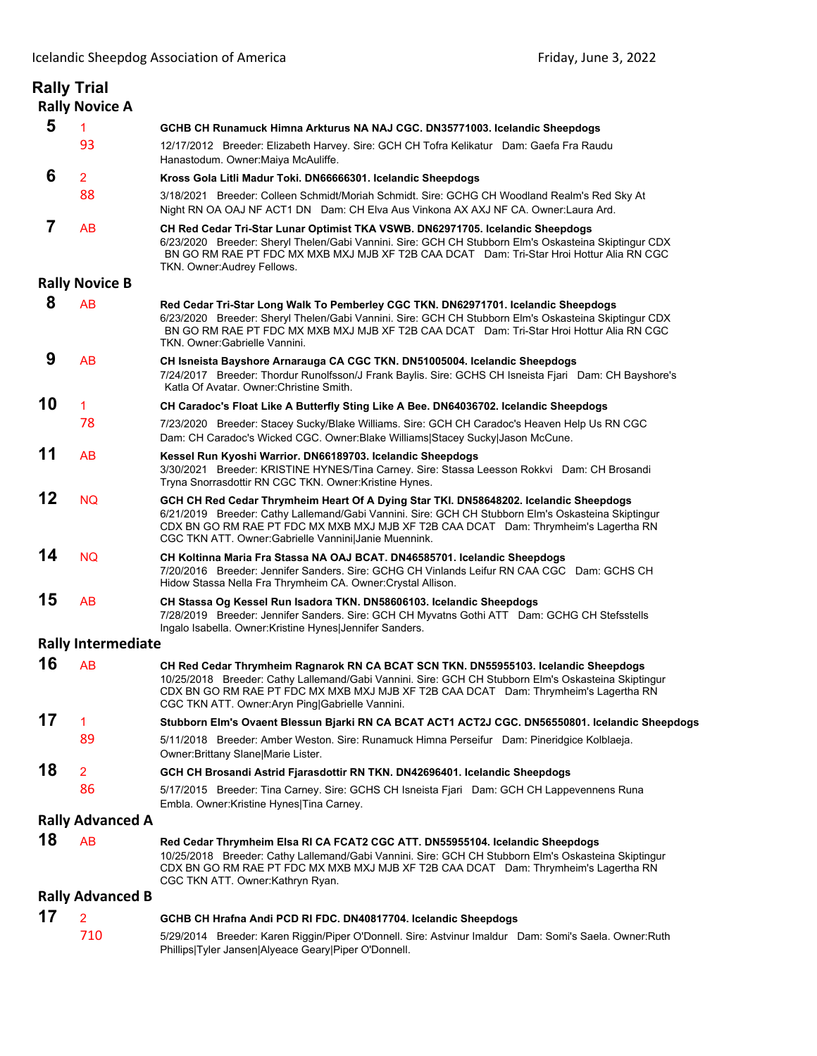|    | <b>Rally Trial</b>        |                                                                                                                                                                                                                                                                                                                                             |
|----|---------------------------|---------------------------------------------------------------------------------------------------------------------------------------------------------------------------------------------------------------------------------------------------------------------------------------------------------------------------------------------|
|    | <b>Rally Novice A</b>     |                                                                                                                                                                                                                                                                                                                                             |
| 5  | 1                         | GCHB CH Runamuck Himna Arkturus NA NAJ CGC. DN35771003. Icelandic Sheepdogs                                                                                                                                                                                                                                                                 |
|    | 93                        | 12/17/2012 Breeder: Elizabeth Harvey. Sire: GCH CH Tofra Kelikatur Dam: Gaefa Fra Raudu<br>Hanastodum. Owner: Maiya McAuliffe.                                                                                                                                                                                                              |
| 6  | $\overline{2}$            | Kross Gola Litli Madur Toki. DN66666301. Icelandic Sheepdogs                                                                                                                                                                                                                                                                                |
|    | 88                        | 3/18/2021 Breeder: Colleen Schmidt/Moriah Schmidt. Sire: GCHG CH Woodland Realm's Red Sky At<br>Night RN OA OAJ NF ACT1 DN Dam: CH Elva Aus Vinkona AX AXJ NF CA. Owner: Laura Ard.                                                                                                                                                         |
| 7  | AB                        | CH Red Cedar Tri-Star Lunar Optimist TKA VSWB. DN62971705. Icelandic Sheepdogs<br>6/23/2020 Breeder: Sheryl Thelen/Gabi Vannini. Sire: GCH CH Stubborn Elm's Oskasteina Skiptingur CDX<br>BN GO RM RAE PT FDC MX MXB MXJ MJB XF T2B CAA DCAT Dam: Tri-Star Hroi Hottur Alia RN CGC<br>TKN. Owner:Audrey Fellows.                            |
|    | <b>Rally Novice B</b>     |                                                                                                                                                                                                                                                                                                                                             |
| 8  | AB                        | Red Cedar Tri-Star Long Walk To Pemberley CGC TKN. DN62971701. Icelandic Sheepdogs<br>6/23/2020 Breeder: Sheryl Thelen/Gabi Vannini. Sire: GCH CH Stubborn Elm's Oskasteina Skiptingur CDX<br>BN GO RM RAE PT FDC MX MXB MXJ MJB XF T2B CAA DCAT Dam: Tri-Star Hroi Hottur Alia RN CGC<br>TKN, Owner: Gabrielle Vannini,                    |
| 9  | AB                        | CH Isneista Bayshore Arnarauga CA CGC TKN. DN51005004. Icelandic Sheepdogs<br>7/24/2017 Breeder: Thordur Runolfsson/J Frank Baylis. Sire: GCHS CH Isneista Fjari Dam: CH Bayshore's<br>Katla Of Avatar. Owner Christine Smith.                                                                                                              |
| 10 | 1                         | CH Caradoc's Float Like A Butterfly Sting Like A Bee. DN64036702. Icelandic Sheepdogs                                                                                                                                                                                                                                                       |
|    | 78                        | 7/23/2020 Breeder: Stacey Sucky/Blake Williams. Sire: GCH CH Caradoc's Heaven Help Us RN CGC<br>Dam: CH Caradoc's Wicked CGC. Owner:Blake Williams Stacey Sucky Jason McCune.                                                                                                                                                               |
| 11 | AB                        | Kessel Run Kyoshi Warrior. DN66189703. Icelandic Sheepdogs<br>3/30/2021 Breeder: KRISTINE HYNES/Tina Carney. Sire: Stassa Leesson Rokkvi Dam: CH Brosandi<br>Tryna Snorrasdottir RN CGC TKN. Owner: Kristine Hynes.                                                                                                                         |
| 12 | <b>NQ</b>                 | GCH CH Red Cedar Thrymheim Heart Of A Dying Star TKI. DN58648202. Icelandic Sheepdogs<br>6/21/2019 Breeder: Cathy Lallemand/Gabi Vannini. Sire: GCH CH Stubborn Elm's Oskasteina Skiptingur<br>CDX BN GO RM RAE PT FDC MX MXB MXJ MJB XF T2B CAA DCAT Dam: Thrymheim's Lagertha RN<br>CGC TKN ATT. Owner: Gabrielle Vannini Janie Muennink. |
| 14 | <b>NQ</b>                 | CH Koltinna Maria Fra Stassa NA OAJ BCAT. DN46585701. Icelandic Sheepdogs<br>7/20/2016 Breeder: Jennifer Sanders. Sire: GCHG CH Vinlands Leifur RN CAA CGC Dam: GCHS CH<br>Hidow Stassa Nella Fra Thrymheim CA. Owner: Crystal Allison.                                                                                                     |
| 15 | AB                        | CH Stassa Og Kessel Run Isadora TKN. DN58606103. Icelandic Sheepdogs<br>7/28/2019 Breeder: Jennifer Sanders. Sire: GCH CH Myvatns Gothi ATT Dam: GCHG CH Stefsstells<br>Ingalo Isabella. Owner: Kristine Hynes Jennifer Sanders.                                                                                                            |
|    | <b>Rally Intermediate</b> |                                                                                                                                                                                                                                                                                                                                             |
| 16 | AB                        | CH Red Cedar Thrymheim Ragnarok RN CA BCAT SCN TKN. DN55955103. Icelandic Sheepdogs<br>10/25/2018 Breeder: Cathy Lallemand/Gabi Vannini. Sire: GCH CH Stubborn Elm's Oskasteina Skiptingur<br>CDX BN GO RM RAE PT FDC MX MXB MXJ MJB XF T2B CAA DCAT Dam: Thrymheim's Lagertha RN<br>CGC TKN ATT. Owner: Aryn Ping Gabrielle Vannini.       |
| 17 | 1                         | Stubborn Elm's Ovaent Blessun Bjarki RN CA BCAT ACT1 ACT2J CGC. DN56550801. Icelandic Sheepdogs                                                                                                                                                                                                                                             |
|    | 89                        | 5/11/2018 Breeder: Amber Weston. Sire: Runamuck Himna Perseifur Dam: Pineridgice Kolblaeja.<br>Owner: Brittany Slane   Marie Lister.                                                                                                                                                                                                        |
| 18 | $\overline{2}$            | GCH CH Brosandi Astrid Fjarasdottir RN TKN. DN42696401. Icelandic Sheepdogs                                                                                                                                                                                                                                                                 |
|    | 86                        | 5/17/2015 Breeder: Tina Carney. Sire: GCHS CH Isneista Fjari Dam: GCH CH Lappevennens Runa<br>Embla. Owner: Kristine Hynes Tina Carney.                                                                                                                                                                                                     |
|    | <b>Rally Advanced A</b>   |                                                                                                                                                                                                                                                                                                                                             |
| 18 | AB                        | Red Cedar Thrymheim Elsa RI CA FCAT2 CGC ATT. DN55955104. Icelandic Sheepdogs<br>10/25/2018 Breeder: Cathy Lallemand/Gabi Vannini. Sire: GCH CH Stubborn Elm's Oskasteina Skiptingur<br>CDX BN GO RM RAE PT FDC MX MXB MXJ MJB XF T2B CAA DCAT Dam: Thrymheim's Lagertha RN<br>CGC TKN ATT. Owner:Kathryn Ryan.                             |
|    | <b>Rally Advanced B</b>   |                                                                                                                                                                                                                                                                                                                                             |
| 17 | 2                         | GCHB CH Hrafna Andi PCD RI FDC. DN40817704. Icelandic Sheepdogs                                                                                                                                                                                                                                                                             |
|    | 710                       | 5/29/2014 Breeder: Karen Riggin/Piper O'Donnell. Sire: Astvinur Imaldur Dam: Somi's Saela. Owner:Ruth<br>Phillips Tyler Jansen Alyeace Geary Piper O'Donnell.                                                                                                                                                                               |